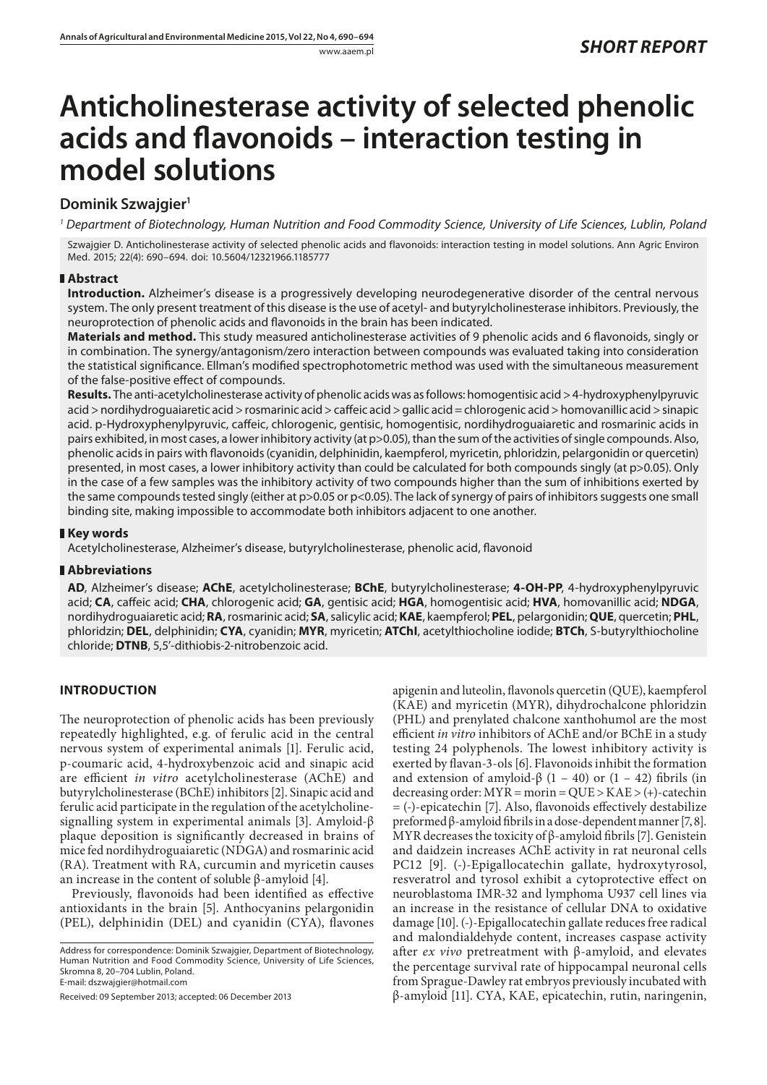# **Anticholinesterase activity of selected phenolic acids and flavonoids – interaction testing in model solutions**

## **Dominik Szwajgier1**

*<sup>1</sup> Department of Biotechnology, Human Nutrition and Food Commodity Science, University of Life Sciences, Lublin, Poland*

Szwajgier D. Anticholinesterase activity of selected phenolic acids and flavonoids: interaction testing in model solutions. Ann Agric Environ Med. 2015; 22(4): 690–694. doi: 10.5604/12321966.1185777

## **Abstract**

**Introduction.** Alzheimer's disease is a progressively developing neurodegenerative disorder of the central nervous system. The only present treatment of this disease is the use of acetyl- and butyrylcholinesterase inhibitors. Previously, the neuroprotection of phenolic acids and flavonoids in the brain has been indicated.

**Materials and method.** This study measured anticholinesterase activities of 9 phenolic acids and 6 flavonoids, singly or in combination. The synergy/antagonism/zero interaction between compounds was evaluated taking into consideration the statistical significance. Ellman's modified spectrophotometric method was used with the simultaneous measurement of the false-positive effect of compounds.

Results. The anti-acetylcholinesterase activity of phenolic acids was as follows: homogentisic acid > 4-hydroxyphenylpyruvic acid > nordihydroguaiaretic acid > rosmarinic acid > caffeic acid > gallic acid = chlorogenic acid > homovanillic acid > sinapic acid. p-Hydroxyphenylpyruvic, caffeic, chlorogenic, gentisic, homogentisic, nordihydroguaiaretic and rosmarinic acids in pairs exhibited, in most cases, a lower inhibitory activity (at p>0.05), than the sum of the activities of single compounds. Also, phenolic acids in pairs with flavonoids (cyanidin, delphinidin, kaempferol, myricetin, phloridzin, pelargonidin or quercetin) presented, in most cases, a lower inhibitory activity than could be calculated for both compounds singly (at p>0.05). Only in the case of a few samples was the inhibitory activity of two compounds higher than the sum of inhibitions exerted by the same compounds tested singly (either at p>0.05 or p<0.05). The lack of synergy of pairs of inhibitors suggests one small binding site, making impossible to accommodate both inhibitors adjacent to one another.

## **Key words**

Acetylcholinesterase, Alzheimer's disease, butyrylcholinesterase, phenolic acid, flavonoid

## **Abbreviations**

**AD**, Alzheimer's disease; **AChE**, acetylcholinesterase; **BChE**, butyrylcholinesterase; **4-OH-PP**, 4-hydroxyphenylpyruvic acid; **CA**, caffeic acid; **CHA**, chlorogenic acid; **GA**, gentisic acid; **HGA**, homogentisic acid; **HVA**, homovanillic acid; **NDGA**, nordihydroguaiaretic acid; **RA**, rosmarinic acid; **SA**, salicylic acid; **KAE**, kaempferol; **PEL**, pelargonidin; **QUE**, quercetin; **PHL**, phloridzin; **DEL**, delphinidin; **CYA**, cyanidin; **MYR**, myricetin; **ATChI**, acetylthiocholine iodide; **BTCh**, S-butyrylthiocholine chloride; **DTNB**, 5,5'-dithiobis-2-nitrobenzoic acid.

## **INTRODUCTION**

The neuroprotection of phenolic acids has been previously repeatedly highlighted, e.g. of ferulic acid in the central nervous system of experimental animals [1]. Ferulic acid, p-coumaric acid, 4-hydroxybenzoic acid and sinapic acid are efficient *in vitro* acetylcholinesterase (AChE) and butyrylcholinesterase (BChE) inhibitors [2]. Sinapic acid and ferulic acid participate in the regulation of the acetylcholinesignalling system in experimental animals [3]. Amyloid-β plaque deposition is significantly decreased in brains of mice fed nordihydroguaiaretic (NDGA) and rosmarinic acid (RA). Treatment with RA, curcumin and myricetin causes an increase in the content of soluble β-amyloid [4].

Previously, flavonoids had been identified as effective antioxidants in the brain [5]. Anthocyanins pelargonidin (PEL), delphinidin (DEL) and cyanidin (CYA), flavones

Address for correspondence: Dominik Szwajgier, Department of Biotechnology, Human Nutrition and Food Commodity Science, University of Life Sciences, Skromna 8, 20–704 Lublin, Poland. E-mail: dszwajgier@hotmail.com

Received: 09 September 2013; accepted: 06 December 2013

apigenin and luteolin, flavonols quercetin (QUE), kaempferol (KAE) and myricetin (MYR), dihydrochalcone phloridzin (PHL) and prenylated chalcone xanthohumol are the most efficient *in vitro* inhibitors of AChE and/or BChE in a study testing 24 polyphenols. The lowest inhibitory activity is exerted by flavan-3-ols [6]. Flavonoids inhibit the formation and extension of amyloid- $\beta$  (1 – 40) or (1 – 42) fibrils (in decreasing order: MYR = morin = QUE > KAE > (+)-catechin = (-)-epicatechin [7]. Also, flavonoids effectively destabilize preformed β-amyloid fibrils in a dose-dependent manner [7, 8]. MYR decreases the toxicity of β-amyloid fibrils [7]. Genistein and daidzein increases AChE activity in rat neuronal cells PC12 [9]. (-)-Epigallocatechin gallate, hydroxytyrosol, resveratrol and tyrosol exhibit a cytoprotective effect on neuroblastoma IMR-32 and lymphoma U937 cell lines via an increase in the resistance of cellular DNA to oxidative damage [10]. (-)-Epigallocatechin gallate reduces free radical and malondialdehyde content, increases caspase activity after *ex vivo* pretreatment with β-amyloid, and elevates the percentage survival rate of hippocampal neuronal cells from Sprague-Dawley rat embryos previously incubated with β-amyloid [11]. CYA, KAE, epicatechin, rutin, naringenin,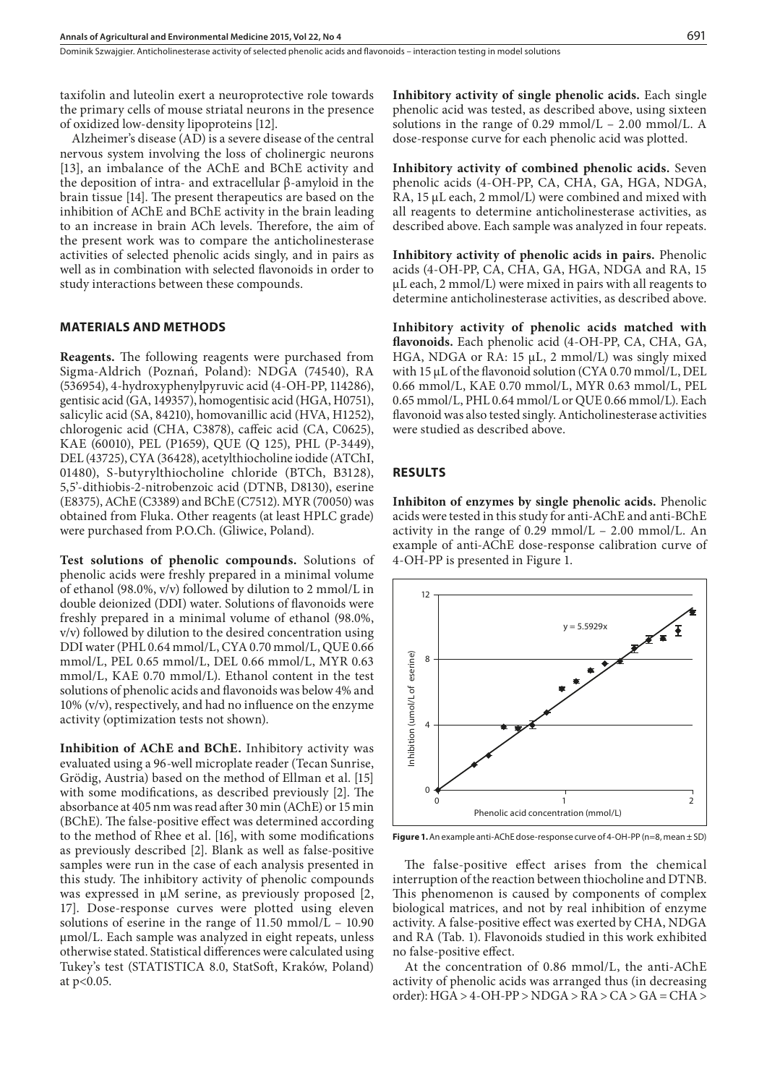taxifolin and luteolin exert a neuroprotective role towards the primary cells of mouse striatal neurons in the presence of oxidized low-density lipoproteins [12].

Alzheimer's disease (AD) is a severe disease of the central nervous system involving the loss of cholinergic neurons [13], an imbalance of the AChE and BChE activity and the deposition of intra- and extracellular β-amyloid in the brain tissue [14]. The present therapeutics are based on the inhibition of AChE and BChE activity in the brain leading to an increase in brain ACh levels. Therefore, the aim of the present work was to compare the anticholinesterase activities of selected phenolic acids singly, and in pairs as well as in combination with selected flavonoids in order to study interactions between these compounds.

#### **MATERIALS AND METHODS**

**Reagents.** The following reagents were purchased from Sigma-Aldrich (Poznań, Poland): NDGA (74540), RA (536954), 4-hydroxyphenylpyruvic acid (4-OH-PP, 114286), gentisic acid (GA, 149357), homogentisic acid (HGA, H0751), salicylic acid (SA, 84210), homovanillic acid (HVA, H1252), chlorogenic acid (CHA, C3878), caffeic acid (CA, C0625), KAE (60010), PEL (P1659), QUE (Q 125), PHL (P-3449), DEL (43725), CYA (36428), acetylthiocholine iodide (ATChI, 01480), S-butyrylthiocholine chloride (BTCh, B3128), 5,5'-dithiobis-2-nitrobenzoic acid (DTNB, D8130), eserine (E8375), AChE (C3389) and BChE (C7512). MYR (70050) was obtained from Fluka. Other reagents (at least HPLC grade) were purchased from P.O.Ch. (Gliwice, Poland).

**Test solutions of phenolic compounds.** Solutions of phenolic acids were freshly prepared in a minimal volume of ethanol (98.0%, v/v) followed by dilution to 2 mmol/L in double deionized (DDI) water. Solutions of flavonoids were freshly prepared in a minimal volume of ethanol (98.0%, v/v) followed by dilution to the desired concentration using DDI water (PHL 0.64 mmol/L, CYA 0.70 mmol/L, QUE 0.66 mmol/L, PEL 0.65 mmol/L, DEL 0.66 mmol/L, MYR 0.63 mmol/L, KAE 0.70 mmol/L). Ethanol content in the test solutions of phenolic acids and flavonoids was below 4% and 10% (v/v), respectively, and had no influence on the enzyme activity (optimization tests not shown).

**Inhibition of AChE and BChE.** Inhibitory activity was evaluated using a 96-well microplate reader (Tecan Sunrise, Grödig, Austria) based on the method of Ellman et al. [15] with some modifications, as described previously [2]. The absorbance at 405 nm was read after 30 min (AChE) or 15 min (BChE). The false-positive effect was determined according to the method of Rhee et al. [16], with some modifications as previously described [2]. Blank as well as false-positive samples were run in the case of each analysis presented in this study. The inhibitory activity of phenolic compounds was expressed in μM serine, as previously proposed [2, 17]. Dose-response curves were plotted using eleven solutions of eserine in the range of  $11.50 \text{ mmol/L} - 10.90$ μmol/L. Each sample was analyzed in eight repeats, unless otherwise stated. Statistical differences were calculated using Tukey's test (STATISTICA 8.0, StatSoft, Kraków, Poland) at p<0.05.

**Inhibitory activity of single phenolic acids.** Each single phenolic acid was tested, as described above, using sixteen solutions in the range of  $0.29 \text{ mmol/L}$  – 2.00 mmol/L. A dose-response curve for each phenolic acid was plotted.

**Inhibitory activity of combined phenolic acids.** Seven phenolic acids (4-OH-PP, CA, CHA, GA, HGA, NDGA, RA, 15 μL each, 2 mmol/L) were combined and mixed with all reagents to determine anticholinesterase activities, as described above. Each sample was analyzed in four repeats.

**Inhibitory activity of phenolic acids in pairs.** Phenolic acids (4-OH-PP, CA, CHA, GA, HGA, NDGA and RA, 15 μL each, 2 mmol/L) were mixed in pairs with all reagents to determine anticholinesterase activities, as described above.

**Inhibitory activity of phenolic acids matched with flavonoids.** Each phenolic acid (4-OH-PP, CA, CHA, GA, HGA, NDGA or RA: 15 μL, 2 mmol/L) was singly mixed with 15 μL of the flavonoid solution (CYA 0.70 mmol/L, DEL 0.66 mmol/L, KAE 0.70 mmol/L, MYR 0.63 mmol/L, PEL 0.65 mmol/L, PHL 0.64 mmol/L or QUE 0.66 mmol/L). Each flavonoid was also tested singly. Anticholinesterase activities were studied as described above.

#### **RESULTS**

**Inhibiton of enzymes by single phenolic acids.** Phenolic acids were tested in this study for anti-AChE and anti-BChE activity in the range of  $0.29 \text{ mmol/L}$  –  $2.00 \text{ mmol/L}$ . An example of anti-AChE dose-response calibration curve of 4-OH-PP is presented in Figure 1.



**Figure 1.** An example anti-AChE dose-response curve of 4-OH-PP (n=8, mean ± SD)

The false-positive effect arises from the chemical interruption of the reaction between thiocholine and DTNB. This phenomenon is caused by components of complex biological matrices, and not by real inhibition of enzyme activity. A false-positive effect was exerted by CHA, NDGA and RA (Tab. 1). Flavonoids studied in this work exhibited no false-positive effect.

At the concentration of 0.86 mmol/L, the anti-AChE activity of phenolic acids was arranged thus (in decreasing order): HGA > 4-OH-PP > NDGA > RA > CA > GA = CHA >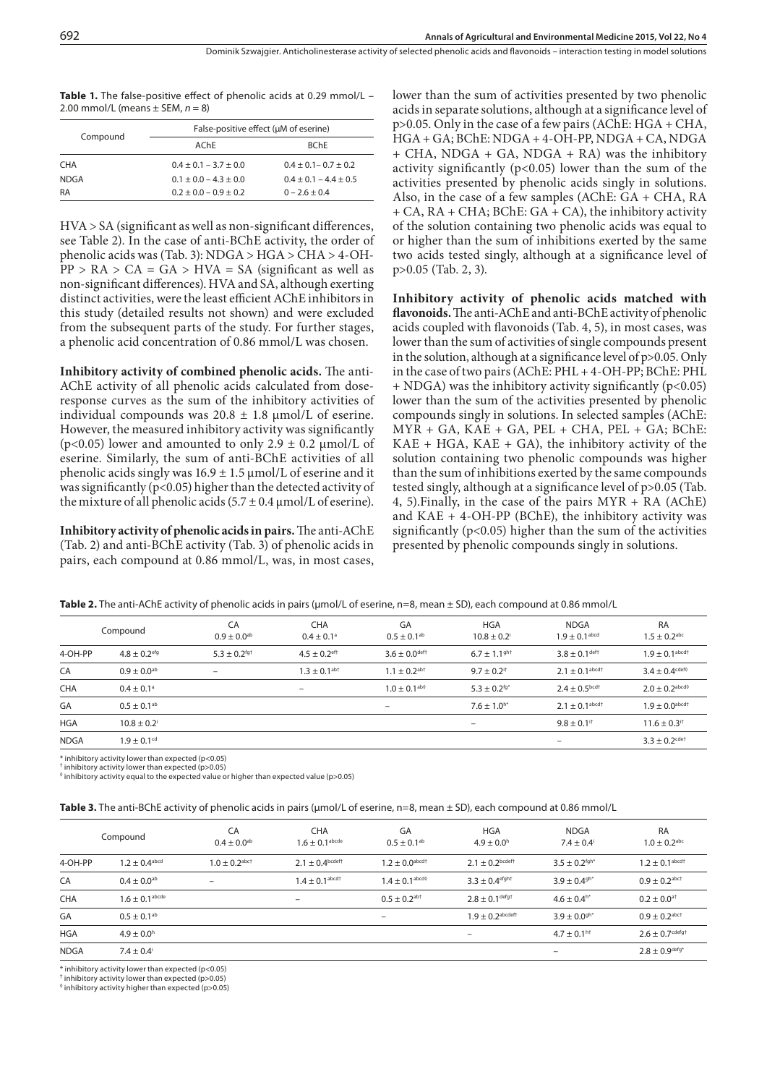**Table 1.** The false-positive effect of phenolic acids at 0.29 mmol/L – 2.00 mmol/L (means ± SEM, *n* = 8)

|                   | False-positive effect (µM of eserine)                  |                                              |  |  |  |  |
|-------------------|--------------------------------------------------------|----------------------------------------------|--|--|--|--|
| Compound          | AChF                                                   | <b>RChF</b>                                  |  |  |  |  |
| <b>CHA</b>        | $0.4 \pm 0.1 - 3.7 \pm 0.0$                            | $0.4 \pm 0.1 - 0.7 \pm 0.2$                  |  |  |  |  |
| <b>NDGA</b><br>RA | $0.1 \pm 0.0 - 4.3 \pm 0.0$<br>$0.2 + 0.0 - 0.9 + 0.2$ | $0.4 \pm 0.1 - 4.4 \pm 0.5$<br>$0 - 26 + 04$ |  |  |  |  |

HVA > SA (significant as well as non-significant differences, see Table 2). In the case of anti-BChE activity, the order of phenolic acids was (Tab. 3): NDGA > HGA > CHA > 4-OH- $PP > RA > CA = GA > HVA = SA$  (significant as well as non-significant differences). HVA and SA, although exerting distinct activities, were the least efficient AChE inhibitors in this study (detailed results not shown) and were excluded from the subsequent parts of the study. For further stages, a phenolic acid concentration of 0.86 mmol/L was chosen.

**Inhibitory activity of combined phenolic acids.** The anti-AChE activity of all phenolic acids calculated from doseresponse curves as the sum of the inhibitory activities of individual compounds was  $20.8 \pm 1.8$  µmol/L of eserine. However, the measured inhibitory activity was significantly (p<0.05) lower and amounted to only  $2.9 \pm 0.2 \mu$ mol/L of eserine. Similarly, the sum of anti-BChE activities of all phenolic acids singly was  $16.9 \pm 1.5 \,\mu$  mol/L of eserine and it was significantly ( $p<0.05$ ) higher than the detected activity of the mixture of all phenolic acids  $(5.7 \pm 0.4 \,\mu\text{mol/L})$  of eserine).

**Inhibitory activity of phenolic acids in pairs.** The anti-AChE (Tab. 2) and anti-BChE activity (Tab. 3) of phenolic acids in pairs, each compound at 0.86 mmol/L, was, in most cases,

lower than the sum of activities presented by two phenolic acids in separate solutions, although at a significance level of p>0.05. Only in the case of a few pairs (AChE: HGA + CHA, HGA + GA; BChE: NDGA + 4-OH-PP, NDGA + CA, NDGA + CHA, NDGA + GA, NDGA + RA) was the inhibitory activity significantly ( $p<0.05$ ) lower than the sum of the activities presented by phenolic acids singly in solutions. Also, in the case of a few samples (AChE: GA + CHA, RA + CA, RA + CHA; BChE: GA + CA), the inhibitory activity of the solution containing two phenolic acids was equal to or higher than the sum of inhibitions exerted by the same two acids tested singly, although at a significance level of p>0.05 (Tab. 2, 3).

**Inhibitory activity of phenolic acids matched with flavonoids.** The anti-AChE and anti-BChE activity of phenolic acids coupled with flavonoids (Tab. 4, 5), in most cases, was lower than the sum of activities of single compounds present in the solution, although at a significance level of p>0.05. Only in the case of two pairs (AChE: PHL + 4-OH-PP; BChE: PHL  $+$  NDGA) was the inhibitory activity significantly ( $p$ <0.05) lower than the sum of the activities presented by phenolic compounds singly in solutions. In selected samples (AChE:  $MYR + GA$ ,  $KAE + GA$ ,  $PEL + CHA$ ,  $PEL + GA$ ;  $BChe$ :  $KAE + HGA$ ,  $KAE + GA$ ), the inhibitory activity of the solution containing two phenolic compounds was higher than the sum of inhibitions exerted by the same compounds tested singly, although at a significance level of p>0.05 (Tab. 4, 5).Finally, in the case of the pairs MYR + RA (AChE) and  $KAE + 4-OH-PP$  (BChE), the inhibitory activity was significantly  $(p<0.05)$  higher than the sum of the activities presented by phenolic compounds singly in solutions.

|             | Compound                     | CA<br>$0.9 \pm 0.0^{ab}$     | <b>CHA</b><br>$0.4 \pm 0.1$ <sup>a</sup> | GA<br>$0.5 \pm 0.1$ <sup>ab</sup> | <b>HGA</b><br>$10.8 \pm 0.2$ | NDGA<br>$1.9 \pm 0.1$ <sup>abcd</sup> | <b>RA</b><br>$1.5 \pm 0.2$ <sup>abc</sup>     |
|-------------|------------------------------|------------------------------|------------------------------------------|-----------------------------------|------------------------------|---------------------------------------|-----------------------------------------------|
| 4-OH-PP     | $4.8 \pm 0.2$ <sup>efg</sup> | $5.3 \pm 0.2$ <sup>fg+</sup> | $4.5 \pm 0.2$ <sup>eft</sup>             | $3.6 \pm 0.0$ deft                | $6.7 \pm 1.1$ <sup>ght</sup> | $3.8 \pm 0.1$ deft                    | $1.9 \pm 0.1$ <sup>abcd†</sup>                |
| CA          | $0.9 + 0.0^{ab}$             | $\overline{\phantom{0}}$     | $1.3 \pm 0.1$ <sup>ab+</sup>             | $1.1 \pm 0.2$ <sup>ab+</sup>      | $9.7 + 0.2$ <sup>it</sup>    | $2.1 \pm 0.1$ <sup>abcd+</sup>        | $3.4 + 0.4$ <sup>cdef<math>\circ</math></sup> |
| <b>CHA</b>  | $0.4 \pm 0.1^{\circ}$        |                              | $\overline{\phantom{a}}$                 | $1.0 \pm 0.1$ <sup>abo</sup>      | $5.3 \pm 0.2$ <sup>fg*</sup> | $2.4 \pm 0.5$ <sub>bcd</sub> +        | $2.0 + 0.2$ <sup>abcd</sup>                   |
| GA          | $0.5 + 0.1$ <sup>ab</sup>    |                              |                                          | $\overline{\phantom{0}}$          | $7.6 \pm 1.0^{h*}$           | $2.1 \pm 0.1$ <sup>abcd†</sup>        | $1.9 + 0.0$ <sup>abcdt</sup>                  |
| <b>HGA</b>  | $10.8 + 0.2$                 |                              |                                          |                                   |                              | $9.8 \pm 0.1$ <sup>it</sup>           | $11.6 \pm 0.3$ <sup>it</sup>                  |
| <b>NDGA</b> | $1.9 \pm 0.1$ <sup>cd</sup>  |                              |                                          |                                   |                              |                                       | $3.3 + 0.2$ <sup>cdet</sup>                   |

**Table 2.** The anti-AChE activity of phenolic acids in pairs (μmol/L of eserine, n=8, mean ± SD), each compound at 0.86 mmol/L

\* inhibitory activity lower than expected (p<0.05)

† inhibitory activity lower than expected (p>0.05)

 $^\lozenge$  inhibitory activity equal to the expected value or higher than expected value (p>0.05)

|  |  |  |  |  | <b>Table 3.</b> The anti-BChE activity of phenolic acids in pairs ( $\mu$ mol/L of eserine, $n=8$ , mean $\pm$ SD), each compound at 0.86 mmol/L |
|--|--|--|--|--|--------------------------------------------------------------------------------------------------------------------------------------------------|
|--|--|--|--|--|--------------------------------------------------------------------------------------------------------------------------------------------------|

|             | Compound                      | CA<br>$0.4 \pm 0.0^{ab}$      | <b>CHA</b><br>$1.6 \pm 0.1$ <sup>abcde</sup> | GA<br>$0.5 \pm 0.1$ <sup>ab</sup>               | <b>HGA</b><br>$4.9 + 0.0h$     | NDGA<br>$7.4 \pm 0.4$         | <b>RA</b><br>$1.0 \pm 0.2$ <sup>abc</sup> |
|-------------|-------------------------------|-------------------------------|----------------------------------------------|-------------------------------------------------|--------------------------------|-------------------------------|-------------------------------------------|
| 4-OH-PP     | $1.2 \pm 0.4$ <sup>abcd</sup> | $1.0 \pm 0.2$ <sup>abct</sup> | $2.1 \pm 0.4$ bcdeft                         | $1.2 \pm 0.0$ abcdt                             | $2.1 \pm 0.2$ bcdeft           | $3.5 \pm 0.2$ <sup>fgh*</sup> | $1.2 \pm 0.1$ abcd +                      |
| CA          | $0.4 \pm 0.0^{ab}$            | $\qquad \qquad$               | $1.4 \pm 0.1^{\rm abcd+}$                    | $1.4 \pm 0.1$ <sup>abcd<math>\circ</math></sup> | $3.3 \pm 0.4$ <sup>efght</sup> | $3.9 \pm 0.4$ <sup>gh*</sup>  | $0.9 \pm 0.2$ <sup>abct</sup>             |
| <b>CHA</b>  | $1.6 \pm 0.1^{\rm abcde}$     |                               | -                                            | $0.5 \pm 0.2$ <sup>ab+</sup>                    | $2.8 \pm 0.1$ defgt            | $4.6 \pm 0.4$ <sup>h*</sup>   | $0.2 + 0.0$ <sup>a+</sup>                 |
| GA          | $0.5 + 0.1$ <sup>ab</sup>     |                               |                                              | $\overline{\phantom{a}}$                        | $1.9 \pm 0.2$ abcdeft          | $3.9 \pm 0.09h*$              | $0.9 + 0.2$ abct                          |
| <b>HGA</b>  | $4.9 \pm 0.0$ <sup>h</sup>    |                               |                                              |                                                 | $-$                            | $4.7 \pm 0.1^{h\dagger}$      | $2.6 \pm 0.7$ <sup>cdefgt</sup>           |
| <b>NDGA</b> | $7.4 \pm 0.4$ <sup>i</sup>    |                               |                                              |                                                 |                                | $\overline{\phantom{m}}$      | $2.8 \pm 0.9^{\text{defg}^*}$             |

inhibitory activity lower than expected (p<0.05)

† inhibitory activity lower than expected (p>0.05) ◊ inhibitory activity higher than expected (p>0.05)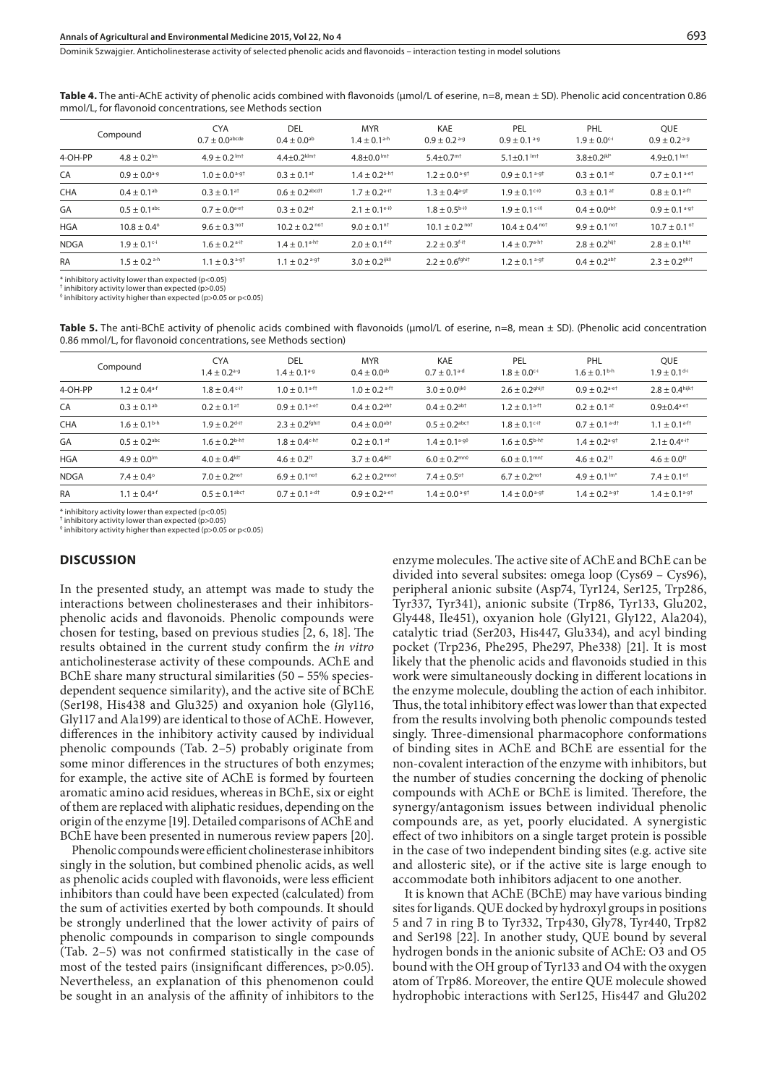**Table 4.** The anti-AChE activity of phenolic acids combined with flavonoids (μmol/L of eserine, n=8, mean ± SD). Phenolic acid concentration 0.86 mmol/L, for flavonoid concentrations, see Methods section

|             | Compound                     | <b>CYA</b><br>$0.7 + 0.0$ <sup>abcde</sup> | DEL<br>$0.4 \pm 0.0^{ab}$     | <b>MYR</b><br>$1.4 \pm 0.1$ <sup>a-h</sup> | KAE<br>$0.9 + 0.2$ <sup>a-g</sup> | PEL<br>$0.9 \pm 0.1$ <sup>a-g</sup>            | PHL<br>$1.9 \pm 0.0$ <sup>c-i</sup> | <b>OUE</b><br>$0.9 + 0.2$ <sup>a-g</sup> |
|-------------|------------------------------|--------------------------------------------|-------------------------------|--------------------------------------------|-----------------------------------|------------------------------------------------|-------------------------------------|------------------------------------------|
| 4-OH-PP     | $4.8 + 0.2lm$                | $4.9 + 0.2$ lmt                            | $4.4 + 0.2$ klm +             | $4.8 + 0.0^{1m+}$                          | $5.4 + 0.7mt$                     | $5.1 + 0.1$ lmt                                | $3.8 + 0.2$ <sup>jkl*</sup>         | $4.9 + 0.1$ lmt                          |
| CA          | $0.9 + 0.0^{a-g}$            | $1.0 + 0.0$ <sup>a-g+</sup>                | $0.3 \pm 0.1$ <sup>at</sup>   | $14 + 0.2$ a-ht                            | $1.2 + 0.0$ <sup>a-g+</sup>       | $0.9 \pm 0.1$ <sup>a-gt</sup>                  | $0.3 \pm 0.1$ <sup>at</sup>         | $0.7 + 0.1$ <sup>a-et</sup>              |
| <b>CHA</b>  | $0.4 \pm 0.1$ <sup>ab</sup>  | $0.3 \pm 0.1$ <sup>at</sup>                | $0.6 + 0.2$ <sup>abcd†</sup>  | $1.7 \pm 0.2$ <sup>a-it</sup>              | $1.3 + 0.4$ <sup>a-g+</sup>       | $1.9 \pm 0.1$ <sup>c-i<math>\circ</math></sup> | $0.3 \pm 0.1$ <sup>at</sup>         | $0.8 \pm 0.1$ <sup>a-f†</sup>            |
| GA          | $0.5 \pm 0.1$ <sup>abc</sup> | $0.7 + 0.0$ <sup>a-et</sup>                | $0.3 + 0.2$ <sup>a+</sup>     | $2.1 + 0.1$ <sup>e-i0</sup>                | $1.8 \pm 0.5$ b-i $\circ$         | $1.9 + 0.1$ c-i $\circ$                        | $0.4 + 0.0$ <sup>abt</sup>          | $0.9 \pm 0.1$ <sup>a-gt</sup>            |
| <b>HGA</b>  | $10.8 \pm 0.4^{\circ}$       | $9.6 \pm 0.3$ not                          | $10.2 + 0.2^{n \circ t}$      | $9.0 \pm 0.1$ <sup>n+</sup>                | $10.1 \pm 0.2^{n \circ t}$        | $10.4 \pm 0.4$ not                             | $9.9 + 0.1^{n \circ t}$             | $10.7 \pm 0.1$ <sup>of</sup>             |
| <b>NDGA</b> | $1.9 + 0.1$ <sup>c-i</sup>   | $1.6 + 0.2$ <sup>a-it</sup>                | $1.4 \pm 0.1$ <sup>a-h+</sup> | $2.0 + 0.1$ d-it                           | $2.2 + 0.3$ f-it                  | $1.4 \pm 0.7$ a-ht                             | $2.8 + 0.2$ hijt                    | $2.8 \pm 0.1$ hijt                       |
| <b>RA</b>   | $1.5 + 0.2$ <sup>a-h</sup>   | $1.1 \pm 0.3$ <sup>a-gt</sup>              | $1.1 + 0.2$ <sup>a-gt</sup>   | 3.0 + 0.2 <sup>ijko</sup>                  | $2.2 + 0.6$ <sup>fghit</sup>      | $1.2 + 0.1$ <sup>a-gt</sup>                    | $0.4 + 0.2$ <sup>ab+</sup>          | $2.3 + 0.29$ hit                         |

\* inhibitory activity lower than expected (p<0.05)

† inhibitory activity lower than expected (p>0.05)  $^\circ$  inhibitory activity higher than expected (p>0.05 or p<0.05)

**Table 5.** The anti-BChE activity of phenolic acids combined with flavonoids (μmol/L of eserine, n=8, mean ± SD). (Phenolic acid concentration 0.86 mmol/L, for flavonoid concentrations, see Methods section)

|             | Compound                   | <b>CYA</b><br>$1.4 \pm 0.2$ <sup>a-g</sup> | DEL<br>$1.4 \pm 0.1^{a-g}$                | <b>MYR</b><br>$0.4 \pm 0.0^{ab}$ | KAE<br>$0.7 \pm 0.1$ <sup>a-d</sup>           | PEL<br>$1.8 \pm 0.0$ <sup>c-i</sup> | PHL<br>$1.6 \pm 0.1^{b-h}$                | <b>OUE</b><br>$1.9 \pm 0.1$ <sup>d-i</sup> |
|-------------|----------------------------|--------------------------------------------|-------------------------------------------|----------------------------------|-----------------------------------------------|-------------------------------------|-------------------------------------------|--------------------------------------------|
| 4-OH-PP     | $1.2 + 0.4$ <sup>a-f</sup> | $1.8 + 0.4$ c-it                           | $1.0 + 0.1$ <sup>a-ff</sup>               | $1.0 + 0.2$ <sup>a-f†</sup>      | 3.0 + 0.0 <sup>ijko</sup>                     | $2.6 + 0.2$ <sup>ghij†</sup>        | $0.9 + 0.2$ <sup>a-et</sup>               | $2.8 + 0.4$ hijkt                          |
| CA          | $0.3 + 0.1^{ab}$           | $0.2 + 0.1$ <sup>at</sup>                  | $0.9 + 0.1$ <sup>a-et</sup>               | $0.4 \pm 0.2$ <sup>abt</sup>     | $0.4 + 0.2$ <sup>ab+</sup>                    | $1.2 + 0.1$ <sup>a-ft</sup>         | $0.2 + 0.1$ <sup>at</sup>                 | $0.9 + 0.4$ <sup>a-et</sup>                |
| <b>CHA</b>  | $1.6 \pm 0.1b-h$           | $1.9 + 0.2$ d-it                           | $2.3 + 0.2$ <sup>fghit</sup>              | $0.4 \pm 0.0$ <sup>abt</sup>     | $0.5 + 0.2$ abct                              | $1.8 + 0.1$ <sup>c-it</sup>         | $0.7 \pm 0.1$ a-dt                        | $1.1 \pm 0.1$ <sup>a-ft</sup>              |
| GA          | $0.5 + 0.2$ <sup>abc</sup> | $1.6 + 0.2$ <sup>b-ht</sup>                | $1.8 + 0.4$ c-ht                          | $0.2 + 0.1$ <sup>at</sup>        | $1.4 + 0.1$ <sup>a-g<math>\circ</math></sup>  | $1.6 + 0.5$ b-ht                    | $1.4 + 0.2$ <sup>a-g+</sup>               | $2.1 \pm 0.4$ <sup>e-it</sup>              |
| <b>HGA</b>  | $4.9 + 0.0lm$              | $4.0 + 0.4$ <sup>kl+</sup>                 | $4.6 \pm 0.2$ <sup><math>\pm</math></sup> | $3.7 + 0.4$ <sup>jklt</sup>      | $6.0 \pm 0.2$ <sup>mn<math>\circ</math></sup> | $6.0 + 0.1$ <sup>mn+</sup>          | $4.6 \pm 0.2$ <sup><math>\pm</math></sup> | $4.6 \pm 0.0$ <sup><math>\pm</math></sup>  |
| <b>NDGA</b> | $7.4 + 0.4^{\circ}$        | $7.0 + 0.2^{n \circ t}$                    | $6.9 + 0.1^{\text{not}}$                  | $6.2 + 0.2$ mnot                 | $7.4 + 0.5$ <sup>ot</sup>                     | $6.7 + 0.2$ <sup>not</sup>          | $4.9 \pm 0.1$ lm <sup>*</sup>             | $7.4 + 0.1$ <sup>ot</sup>                  |
| <b>RA</b>   | $1.1 + 0.4$ <sup>a-f</sup> | $0.5 + 0.1$ <sup>abct</sup>                | $0.7 + 0.1$ <sup>a-dt</sup>               | $0.9 + 0.2$ a-et                 | $1.4 + 0.0$ <sup>a-gt</sup>                   | $1.4 + 0.0$ <sup>a-g+</sup>         | $1.4 + 0.2$ <sup>a-gt</sup>               | $1.4 + 0.1$ <sup>a-g+</sup>                |

\* inhibitory activity lower than expected (p<0.05)

† inhibitory activity lower than expected (p>0.05)

 $\textdegree$  inhibitory activity higher than expected (p>0.05 or p<0.05)

#### **DISCUSSION**

In the presented study, an attempt was made to study the interactions between cholinesterases and their inhibitorsphenolic acids and flavonoids. Phenolic compounds were chosen for testing, based on previous studies [2, 6, 18]. The results obtained in the current study confirm the *in vitro*  anticholinesterase activity of these compounds. AChE and BChE share many structural similarities (50 **–** 55% speciesdependent sequence similarity), and the active site of BChE (Ser198, His438 and Glu325) and oxyanion hole (Gly116, Gly117 and Ala199) are identical to those of AChE. However, differences in the inhibitory activity caused by individual phenolic compounds (Tab. 2–5) probably originate from some minor differences in the structures of both enzymes; for example, the active site of AChE is formed by fourteen aromatic amino acid residues, whereas in BChE, six or eight of them are replaced with aliphatic residues, depending on the origin of the enzyme [19]. Detailed comparisons of AChE and BChE have been presented in numerous review papers [20].

Phenolic compounds were efficient cholinesterase inhibitors singly in the solution, but combined phenolic acids, as well as phenolic acids coupled with flavonoids, were less efficient inhibitors than could have been expected (calculated) from the sum of activities exerted by both compounds. It should be strongly underlined that the lower activity of pairs of phenolic compounds in comparison to single compounds (Tab. 2–5) was not confirmed statistically in the case of most of the tested pairs (insignificant differences, p>0.05). Nevertheless, an explanation of this phenomenon could be sought in an analysis of the affinity of inhibitors to the

enzyme molecules. The active site of AChE and BChE can be divided into several subsites: omega loop (Cys69 – Cys96), peripheral anionic subsite (Asp74, Tyr124, Ser125, Trp286, Tyr337, Tyr341), anionic subsite (Trp86, Tyr133, Glu202, Gly448, Ile451), oxyanion hole (Gly121, Gly122, Ala204), catalytic triad (Ser203, His447, Glu334), and acyl binding pocket (Trp236, Phe295, Phe297, Phe338) [21]. It is most likely that the phenolic acids and flavonoids studied in this work were simultaneously docking in different locations in the enzyme molecule, doubling the action of each inhibitor. Thus, the total inhibitory effect was lower than that expected from the results involving both phenolic compounds tested singly. Three-dimensional pharmacophore conformations of binding sites in AChE and BChE are essential for the non-covalent interaction of the enzyme with inhibitors, but the number of studies concerning the docking of phenolic compounds with AChE or BChE is limited. Therefore, the synergy/antagonism issues between individual phenolic compounds are, as yet, poorly elucidated. A synergistic effect of two inhibitors on a single target protein is possible in the case of two independent binding sites (e.g. active site and allosteric site), or if the active site is large enough to accommodate both inhibitors adjacent to one another.

It is known that AChE (BChE) may have various binding sites for ligands. QUE docked by hydroxyl groups in positions 5 and 7 in ring B to Tyr332, Trp430, Gly78, Tyr440, Trp82 and Ser198 [22]. In another study, QUE bound by several hydrogen bonds in the anionic subsite of AChE: O3 and O5 bound with the OH group of Tyr133 and O4 with the oxygen atom of Trp86. Moreover, the entire QUE molecule showed hydrophobic interactions with Ser125, His447 and Glu202